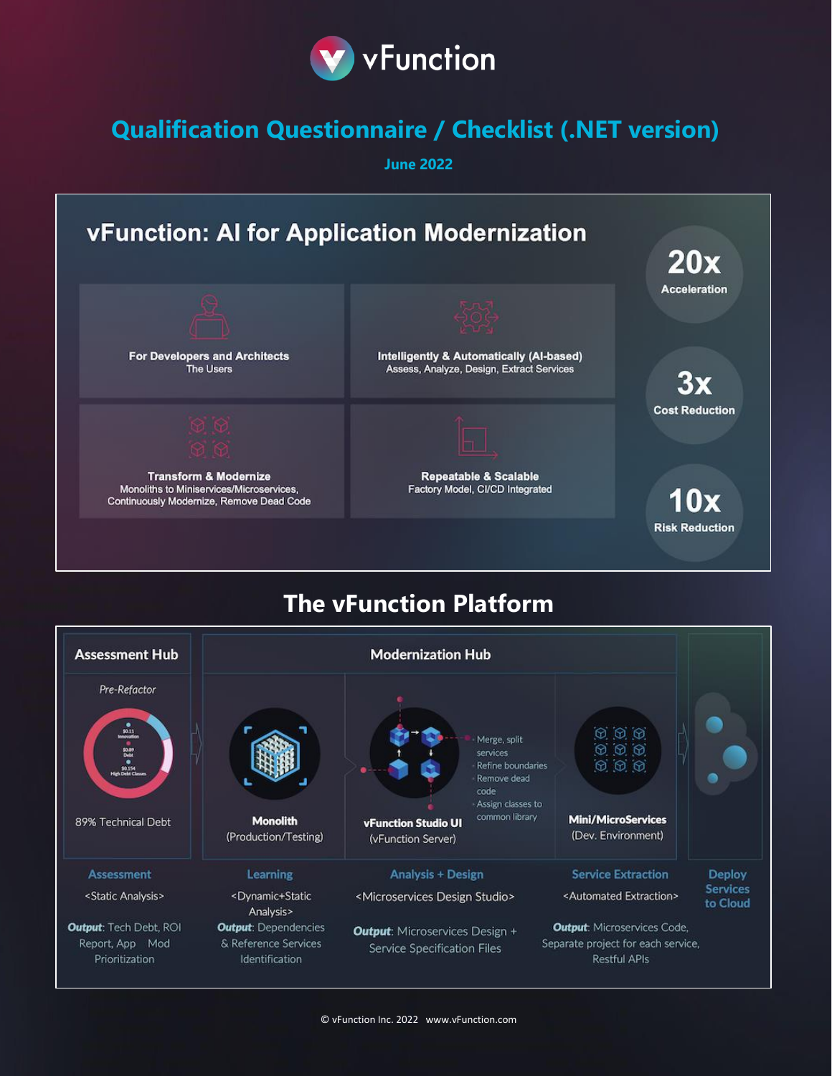

## **Qualification Questionnaire / Checklist (.NET version)**

**June 2022**



## **The vFunction Platform**

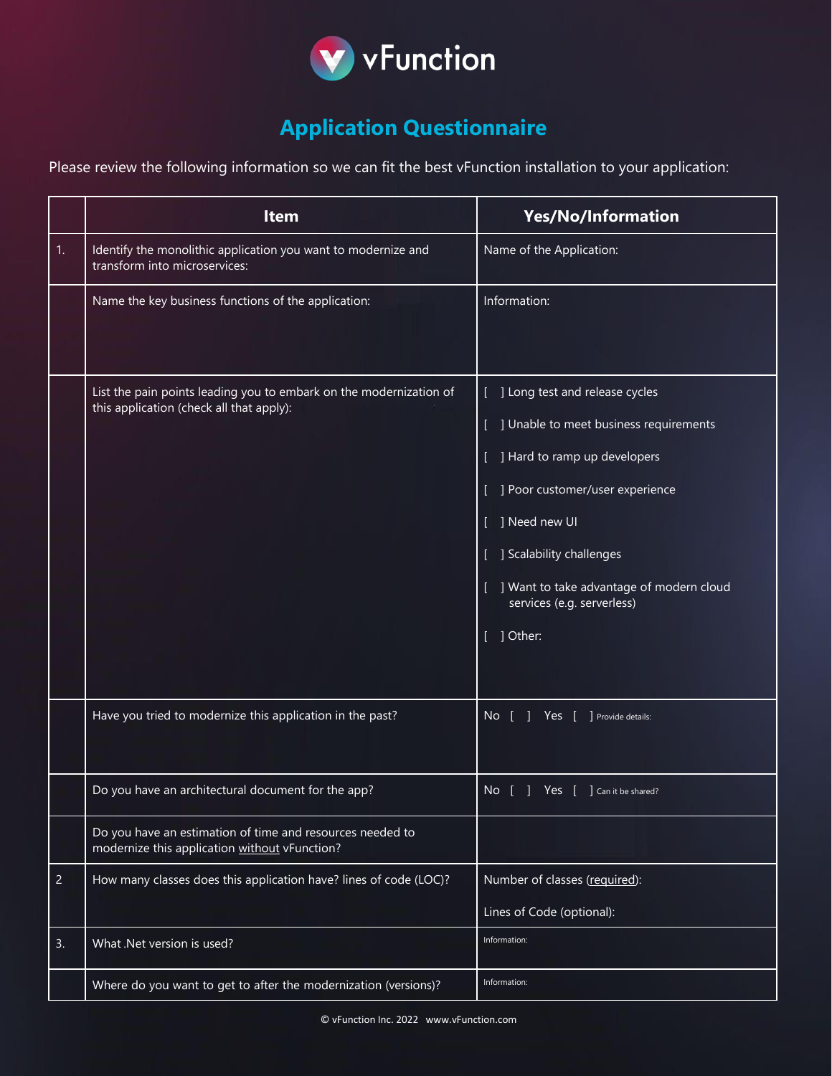

## **Application Questionnaire**

Please review the following information so we can fit the best vFunction installation to your application:

|                | <b>Item</b>                                                                                                    | <b>Yes/No/Information</b>                                                                                                                                                                                                                                                      |
|----------------|----------------------------------------------------------------------------------------------------------------|--------------------------------------------------------------------------------------------------------------------------------------------------------------------------------------------------------------------------------------------------------------------------------|
| 1.             | Identify the monolithic application you want to modernize and<br>transform into microservices:                 | Name of the Application:                                                                                                                                                                                                                                                       |
|                | Name the key business functions of the application:                                                            | Information:                                                                                                                                                                                                                                                                   |
|                | List the pain points leading you to embark on the modernization of<br>this application (check all that apply): | ] Long test and release cycles<br>] Unable to meet business requirements<br>] Hard to ramp up developers<br>] Poor customer/user experience<br>] Need new UI<br>] Scalability challenges<br>] Want to take advantage of modern cloud<br>services (e.g. serverless)<br>] Other: |
|                | Have you tried to modernize this application in the past?                                                      | No<br>Yes<br>Provide details:                                                                                                                                                                                                                                                  |
|                | Do you have an architectural document for the app?                                                             | No [ ] Yes [ ] Can it be shared?                                                                                                                                                                                                                                               |
|                | Do you have an estimation of time and resources needed to<br>modernize this application without vFunction?     |                                                                                                                                                                                                                                                                                |
| $\overline{2}$ | How many classes does this application have? lines of code (LOC)?                                              | Number of classes (required):<br>Lines of Code (optional):                                                                                                                                                                                                                     |
| 3.             | What .Net version is used?                                                                                     | Information:                                                                                                                                                                                                                                                                   |
|                | Where do you want to get to after the modernization (versions)?                                                | Information:                                                                                                                                                                                                                                                                   |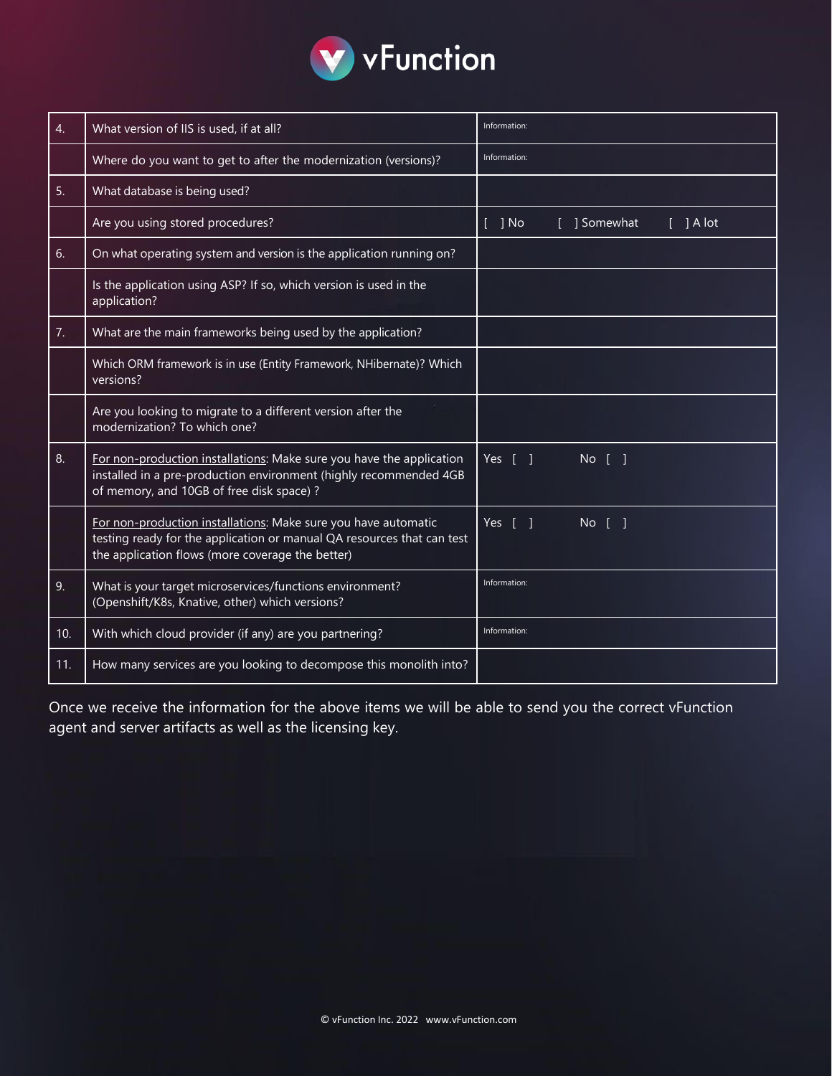

| 4.  | What version of IIS is used, if at all?                                                                                                                                                      | Information:                          |
|-----|----------------------------------------------------------------------------------------------------------------------------------------------------------------------------------------------|---------------------------------------|
|     | Where do you want to get to after the modernization (versions)?                                                                                                                              | Information:                          |
| 5.  | What database is being used?                                                                                                                                                                 |                                       |
|     | Are you using stored procedures?                                                                                                                                                             | $[$ ] No<br>] Somewhat<br>$[$ ] A lot |
| 6.  | On what operating system and version is the application running on?                                                                                                                          |                                       |
|     | Is the application using ASP? If so, which version is used in the<br>application?                                                                                                            |                                       |
| 7.  | What are the main frameworks being used by the application?                                                                                                                                  |                                       |
|     | Which ORM framework is in use (Entity Framework, NHibernate)? Which<br>versions?                                                                                                             |                                       |
|     | Are you looking to migrate to a different version after the<br>modernization? To which one?                                                                                                  |                                       |
| 8.  | For non-production installations: Make sure you have the application<br>installed in a pre-production environment (highly recommended 4GB<br>of memory, and 10GB of free disk space) ?       | Yes<br>$No$ $\lceil$                  |
|     | For non-production installations: Make sure you have automatic<br>testing ready for the application or manual QA resources that can test<br>the application flows (more coverage the better) | Yes [<br><b>No</b>                    |
| 9.  | What is your target microservices/functions environment?<br>(Openshift/K8s, Knative, other) which versions?                                                                                  | Information:                          |
| 10. | With which cloud provider (if any) are you partnering?                                                                                                                                       | Information:                          |
| 11. | How many services are you looking to decompose this monolith into?                                                                                                                           |                                       |

Once we receive the information for the above items we will be able to send you the correct vFunction agent and server artifacts as well as the licensing key.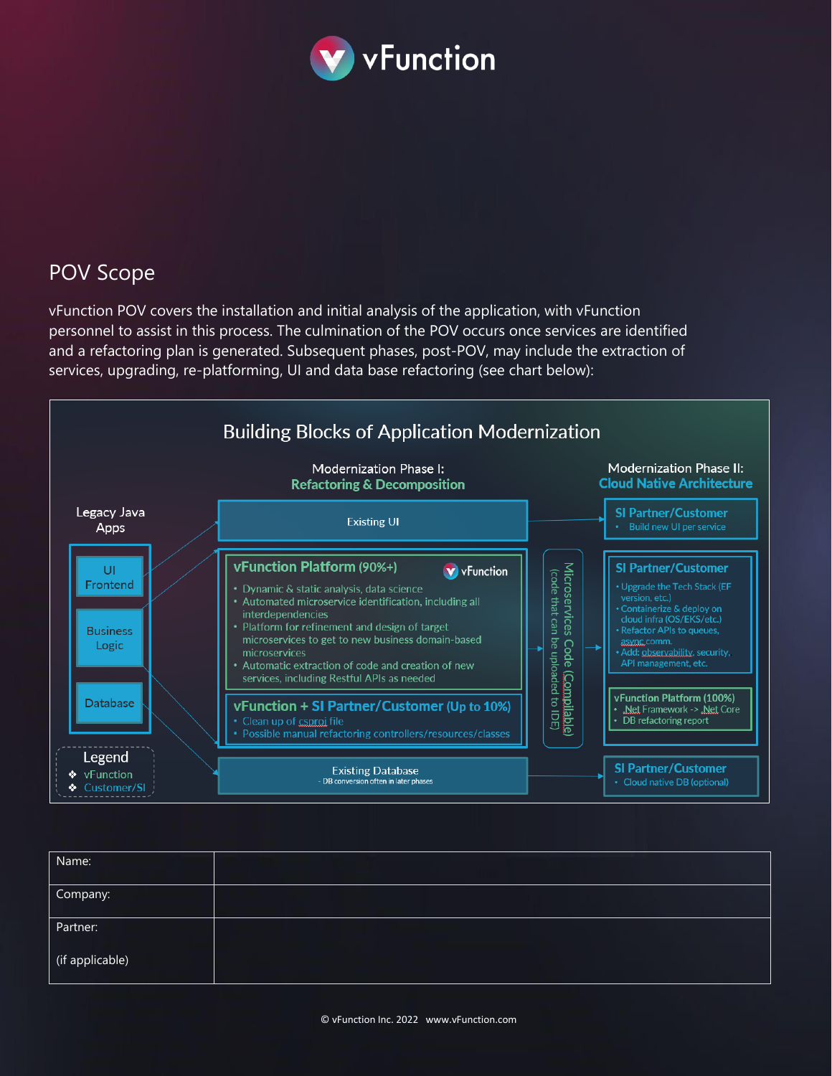

## POV Scope

vFunction POV covers the installation and initial analysis of the application, with vFunction personnel to assist in this process. The culmination of the POV occurs once services are identified and a refactoring plan is generated. Subsequent phases, post-POV, may include the extraction of services, upgrading, re-platforming, UI and data base refactoring (see chart below):



| Name:           |  |
|-----------------|--|
| Company:        |  |
| Partner:        |  |
| (if applicable) |  |